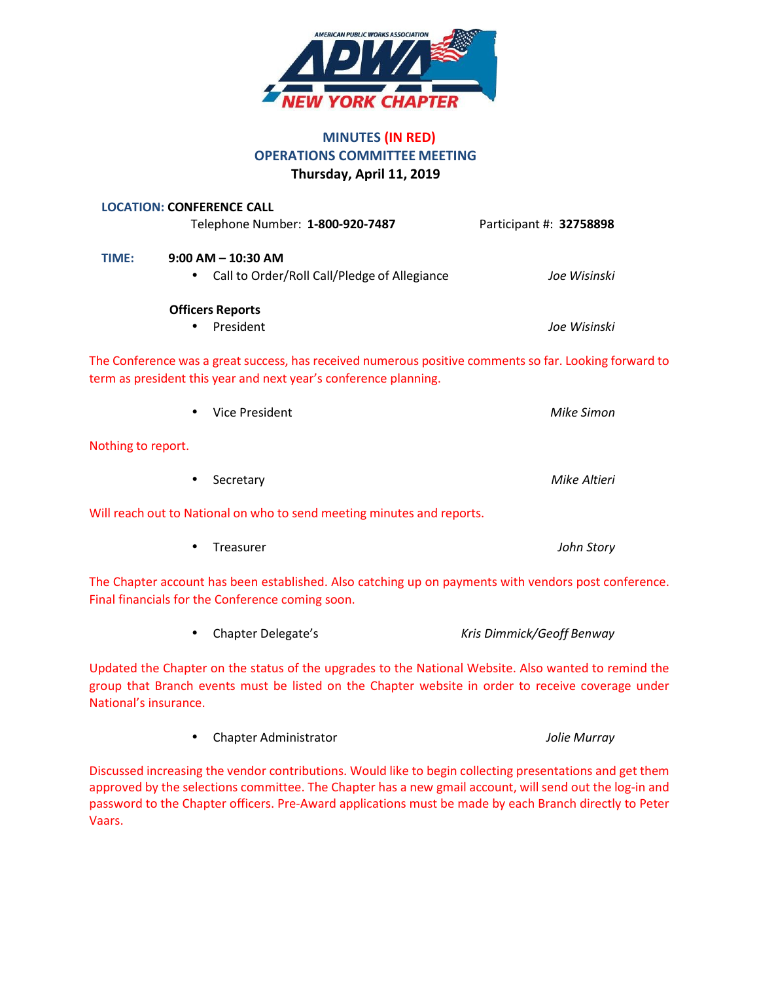

# **MINUTES (IN RED) OPERATIONS COMMITTEE MEETING Thursday, April 11, 2019**

|                    | <b>LOCATION: CONFERENCE CALL</b><br>Telephone Number: 1-800-920-7487                                                                                                       | Participant #: 32758898 |
|--------------------|----------------------------------------------------------------------------------------------------------------------------------------------------------------------------|-------------------------|
| TIME:              | $9:00$ AM $-$ 10:30 AM<br>Call to Order/Roll Call/Pledge of Allegiance<br>$\bullet$                                                                                        | Joe Wisinski            |
|                    | <b>Officers Reports</b><br>President                                                                                                                                       | Joe Wisinski            |
|                    | The Conference was a great success, has received numerous positive comments so far. Looking forward to<br>term as president this year and next year's conference planning. |                         |
|                    | <b>Vice President</b>                                                                                                                                                      | <b>Mike Simon</b>       |
| Nothing to report. |                                                                                                                                                                            |                         |
|                    | Secretary                                                                                                                                                                  | Mike Altieri            |
|                    | Will reach out to National on who to send meeting minutes and reports.                                                                                                     |                         |
|                    | Treasurer                                                                                                                                                                  | John Story              |
|                    | The Chapter account has been established. Also catching up on payments with vendors post conference.<br>Final financials for the Conference coming soon.                   |                         |

• Chapter Delegate's *Kris Dimmick/Geoff Benway*

Updated the Chapter on the status of the upgrades to the National Website. Also wanted to remind the group that Branch events must be listed on the Chapter website in order to receive coverage under National's insurance.

|  | Chapter Administrator | Jolie Murray |
|--|-----------------------|--------------|
|--|-----------------------|--------------|

Discussed increasing the vendor contributions. Would like to begin collecting presentations and get them approved by the selections committee. The Chapter has a new gmail account, will send out the log-in and password to the Chapter officers. Pre-Award applications must be made by each Branch directly to Peter Vaars.